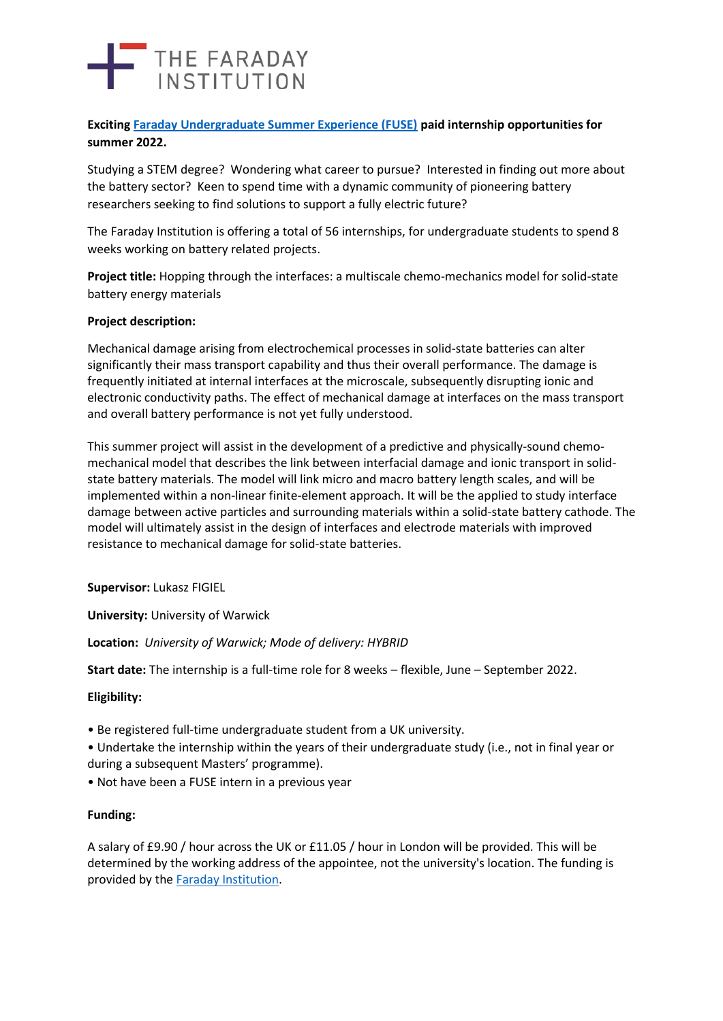# THE FARADAY

**Exciting [Faraday Undergraduate Summer Experience \(FUSE\)](https://www.faraday.ac.uk/fuse-2022/) paid internship opportunities for summer 2022.**

Studying a STEM degree? Wondering what career to pursue? Interested in finding out more about the battery sector? Keen to spend time with a dynamic community of pioneering battery researchers seeking to find solutions to support a fully electric future?

The Faraday Institution is offering a total of 56 internships, for undergraduate students to spend 8 weeks working on battery related projects.

**Project title:** Hopping through the interfaces: a multiscale chemo-mechanics model for solid-state battery energy materials

### **Project description:**

Mechanical damage arising from electrochemical processes in solid-state batteries can alter significantly their mass transport capability and thus their overall performance. The damage is frequently initiated at internal interfaces at the microscale, subsequently disrupting ionic and electronic conductivity paths. The effect of mechanical damage at interfaces on the mass transport and overall battery performance is not yet fully understood.

This summer project will assist in the development of a predictive and physically-sound chemomechanical model that describes the link between interfacial damage and ionic transport in solidstate battery materials. The model will link micro and macro battery length scales, and will be implemented within a non-linear finite-element approach. It will be the applied to study interface damage between active particles and surrounding materials within a solid-state battery cathode. The model will ultimately assist in the design of interfaces and electrode materials with improved resistance to mechanical damage for solid-state batteries.

**Supervisor:** Lukasz FIGIEL

**University:** University of Warwick

**Location:** *University of Warwick; Mode of delivery: HYBRID*

**Start date:** The internship is a full-time role for 8 weeks – flexible, June – September 2022.

#### **Eligibility:**

- Be registered full-time undergraduate student from a UK university.
- Undertake the internship within the years of their undergraduate study (i.e., not in final year or during a subsequent Masters' programme).
- Not have been a FUSE intern in a previous year

#### **Funding:**

A salary of £9.90 / hour across the UK or £11.05 / hour in London will be provided. This will be determined by the working address of the appointee, not the university's location. The funding is provided by the [Faraday Institution.](https://www.faraday.ac.uk/)